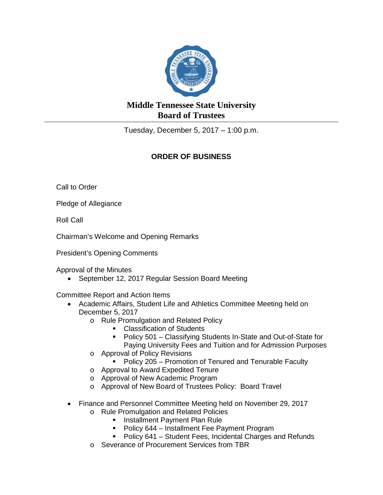

## **Middle Tennessee State University Board of Trustees**

Tuesday, December 5, 2017 – 1:00 p.m.

## **ORDER OF BUSINESS**

Call to Order

Pledge of Allegiance

Roll Call

Chairman's Welcome and Opening Remarks

President's Opening Comments

Approval of the Minutes

• September 12, 2017 Regular Session Board Meeting

Committee Report and Action Items

- Academic Affairs, Student Life and Athletics Committee Meeting held on December 5, 2017
	- o Rule Promulgation and Related Policy
		- Classification of Students
		- Policy 501 Classifying Students In-State and Out-of-State for Paying University Fees and Tuition and for Admission Purposes
	- o Approval of Policy Revisions
		- Policy 205 Promotion of Tenured and Tenurable Faculty
	- o Approval to Award Expedited Tenure
	- o Approval of New Academic Program
	- o Approval of New Board of Trustees Policy: Board Travel
- Finance and Personnel Committee Meeting held on November 29, 2017
	- o Rule Promulgation and Related Policies
		- **Installment Payment Plan Rule** 
			- **Policy 644 Installment Fee Payment Program**
			- Policy 641 Student Fees, Incidental Charges and Refunds
	- o Severance of Procurement Services from TBR